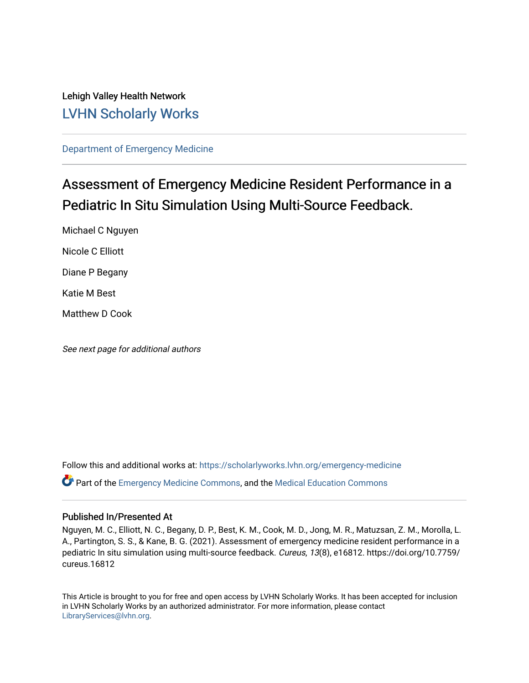# Lehigh Valley Health Network [LVHN Scholarly Works](https://scholarlyworks.lvhn.org/)

[Department of Emergency Medicine](https://scholarlyworks.lvhn.org/emergency-medicine)

# Assessment of Emergency Medicine Resident Performance in a Pediatric In Situ Simulation Using Multi-Source Feedback.

Michael C Nguyen Nicole C Elliott

Diane P Begany

Katie M Best

Matthew D Cook

See next page for additional authors

Follow this and additional works at: [https://scholarlyworks.lvhn.org/emergency-medicine](https://scholarlyworks.lvhn.org/emergency-medicine?utm_source=scholarlyworks.lvhn.org%2Femergency-medicine%2F680&utm_medium=PDF&utm_campaign=PDFCoverPages)  Part of the [Emergency Medicine Commons](https://network.bepress.com/hgg/discipline/685?utm_source=scholarlyworks.lvhn.org%2Femergency-medicine%2F680&utm_medium=PDF&utm_campaign=PDFCoverPages), and the [Medical Education Commons](https://network.bepress.com/hgg/discipline/1125?utm_source=scholarlyworks.lvhn.org%2Femergency-medicine%2F680&utm_medium=PDF&utm_campaign=PDFCoverPages) 

## Published In/Presented At

Nguyen, M. C., Elliott, N. C., Begany, D. P., Best, K. M., Cook, M. D., Jong, M. R., Matuzsan, Z. M., Morolla, L. A., Partington, S. S., & Kane, B. G. (2021). Assessment of emergency medicine resident performance in a pediatric In situ simulation using multi-source feedback. Cureus, 13(8), e16812. https://doi.org/10.7759/ cureus.16812

This Article is brought to you for free and open access by LVHN Scholarly Works. It has been accepted for inclusion in LVHN Scholarly Works by an authorized administrator. For more information, please contact [LibraryServices@lvhn.org](mailto:LibraryServices@lvhn.org).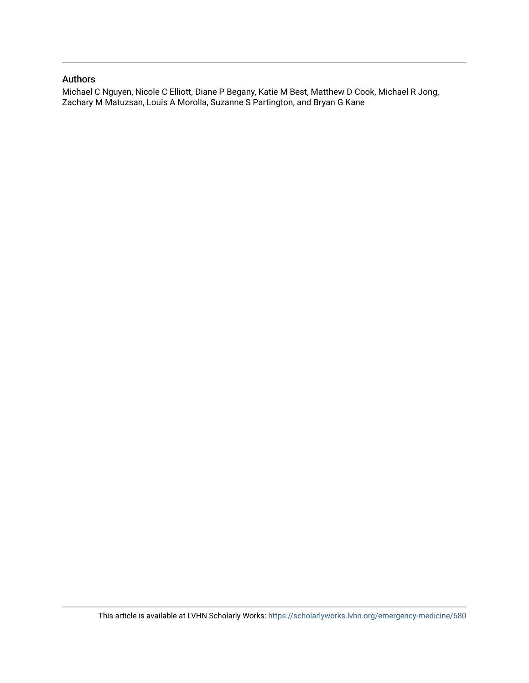## Authors

Michael C Nguyen, Nicole C Elliott, Diane P Begany, Katie M Best, Matthew D Cook, Michael R Jong, Zachary M Matuzsan, Louis A Morolla, Suzanne S Partington, and Bryan G Kane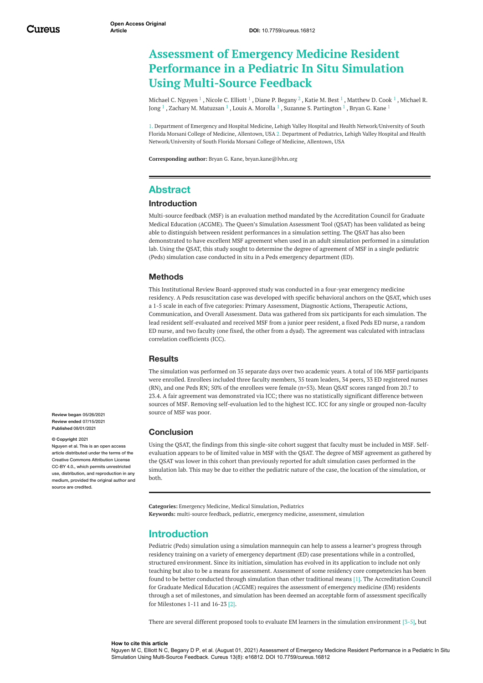# <span id="page-2-0"></span>**Assessment of Emergency Medicine Resident Performance in a Pediatric In Situ Simulation Using Multi-Source Feedback**

[Michael](https://www.cureus.com/users/247777-michael-c-nguyen) C. Nguyen  $^1$  , [Nicole](https://www.cureus.com/users/247778-nicole-elliott) C. Elliott  $^1$  , Diane P. [Begany](https://www.cureus.com/users/247780-diane-p-begany)  $^2$  , [Katie](https://www.cureus.com/users/247779-katie-best) M. Best  $^1$  , [Matthew](https://www.cureus.com/users/247781-matthew-cook) D. Cook  $^1$  , Michael R. Jong  $^1$  , Zachary M. [Matuzsan](https://www.cureus.com/users/247806-zachary-matuzsan)  $^1$  , Louis A. [Morolla](https://www.cureus.com/users/247808-louis-morolla)  $^1$  , Suzanne S. [Partington](https://www.cureus.com/users/247800-michael-r-jong)  $^1$  , [Bryan](https://www.cureus.com/users/226371-bryan-g-kane) G. Kane  $^1$ 

1. Department of Emergency and Hospital Medicine, Lehigh Valley Hospital and Health Network/University of South Florida Morsani College of Medicine, Allentown, USA 2. Department of Pediatrics, Lehigh Valley Hospital and Health Network/University of South Florida Morsani College of Medicine, Allentown, USA

**Corresponding author:** Bryan G. Kane, bryan.kane@lvhn.org

## **Abstract**

### **Introduction**

Multi-source feedback (MSF) is an evaluation method mandated by the Accreditation Council for Graduate Medical Education (ACGME). The Queen's Simulation Assessment Tool (QSAT) has been validated as being able to distinguish between resident performances in a simulation setting. The QSAT has also been demonstrated to have excellent MSF agreement when used in an adult simulation performed in a simulation lab. Using the QSAT, this study sought to determine the degree of agreement of MSF in a single pediatric (Peds) simulation case conducted in situ in a Peds emergency department (ED).

#### **Methods**

This Institutional Review Board-approved study was conducted in a four-year emergency medicine residency. A Peds resuscitation case was developed with specific behavioral anchors on the QSAT, which uses a 1-5 scale in each of five categories: Primary Assessment, Diagnostic Actions, Therapeutic Actions, Communication, and Overall Assessment. Data was gathered from six participants for each simulation. The lead resident self-evaluated and received MSF from a junior peer resident, a fixed Peds ED nurse, a random ED nurse, and two faculty (one fixed, the other from a dyad). The agreement was calculated with intraclass correlation coefficients (ICC).

#### **Results**

The simulation was performed on 35 separate days over two academic years. A total of 106 MSF participants were enrolled. Enrollees included three faculty members, 35 team leaders, 34 peers, 33 ED registered nurses (RN), and one Peds RN; 50% of the enrollees were female (n=53). Mean QSAT scores ranged from 20.7 to 23.4. A fair agreement was demonstrated via ICC; there was no statistically significant difference between sources of MSF. Removing self-evaluation led to the highest ICC. ICC for any single or grouped non-faculty source of MSF was poor.

#### **Conclusion**

Using the QSAT, the findings from this single-site cohort suggest that faculty must be included in MSF. Selfevaluation appears to be of limited value in MSF with the QSAT. The degree of MSF agreement as gathered by the QSAT was lower in this cohort than previously reported for adult simulation cases performed in the simulation lab. This may be due to either the pediatric nature of the case, the location of the simulation, or both.

**Categories:** Emergency Medicine, Medical Simulation, Pediatrics **Keywords:** multi-source feedback, pediatric, emergency medicine, assessment, simulation

# **Introduction**

Pediatric (Peds) simulation using a simulation mannequin can help to assess a learner's progress through residency training on a variety of emergency department (ED) case presentations while in a controlled, structured environment. Since its initiation, simulation has evolved in its application to include not only teaching but also to be a means for assessment. Assessment of some residency core competencies has been found to be better conducted through simulation than other traditional means [1]. The Accreditation Council for Graduate Medical Education (ACGME) requires the assessment of emergency medicine (EM) residents through a set of milestones, and simulation has been deemed an acceptable form of assessment specifically for Milestones 1-11 and 16-23 [2].

There are several different proposed tools to evaluate EM learners in the simulation environment [3-5], but

#### **How to cite this article**

Nguyen M C, Elliott N C, Begany D P, et al. (August 01, 2021) Assessment of Emergency Medicine Resident Performance in a Pediatric In Situ Simulation Using Multi-Source Feedback. Cureus 13(8): e16812. DOI 10.7759/cureus.16812

**Review began** 05/26/2021 **Review ended** 07/15/2021 **Published** 08/01/2021

#### **© Copyright** 2021

Nguyen et al. This is an open access article distributed under the terms of the Creative Commons Attribution License CC-BY 4.0., which permits unrestricted use, distribution, and reproduction in any medium, provided the original author and source are credited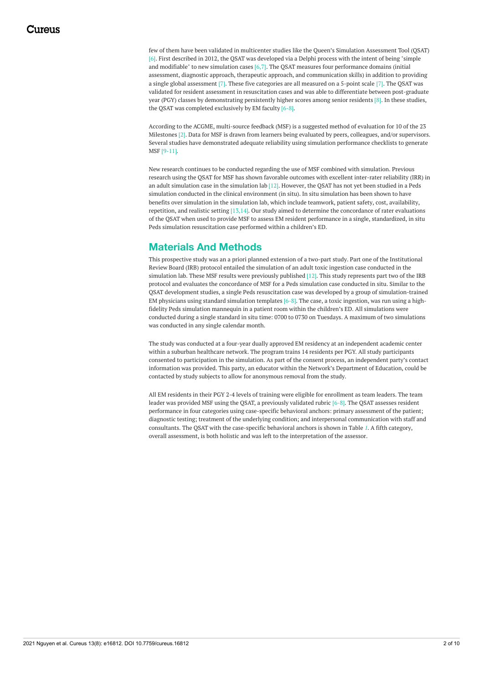few of them have been validated in multicenter studies like the Queen's Simulation Assessment Tool (QSAT) [6]. First described in 2012, the QSAT was developed via a Delphi process with the intent of being "simple and modifiable" to new simulation cases [6,7]. The QSAT measures four performance domains (initial assessment, diagnostic approach, therapeutic approach, and communication skills) in addition to providing a single global assessment [7]. These five categories are all measured on a 5-point scale [7]. The QSAT was validated for resident assessment in resuscitation cases and was able to differentiate between post-graduate year (PGY) classes by demonstrating persistently higher scores among senior residents [8]. In these studies, the QSAT was completed exclusively by EM faculty [6-8].

According to the ACGME, multi-source feedback (MSF) is a suggested method of evaluation for 10 of the 23 Milestones [2]. Data for MSF is drawn from learners being evaluated by peers, colleagues, and/or supervisors. Several studies have demonstrated adequate reliability using simulation performance checklists to generate MSF [9-11].

New research continues to be conducted regarding the use of MSF combined with simulation. Previous research using the QSAT for MSF has shown favorable outcomes with excellent inter-rater reliability (IRR) in an adult simulation case in the simulation lab [12]. However, the QSAT has not yet been studied in a Peds simulation conducted in the clinical environment (in situ). In situ simulation has been shown to have benefits over simulation in the simulation lab, which include teamwork, patient safety, cost, availability, repetition, and realistic setting [13,14]. Our study aimed to determine the concordance of rater evaluations of the QSAT when used to provide MSF to assess EM resident performance in a single, standardized, in situ Peds simulation resuscitation case performed within a children's ED.

# **Materials And Methods**

This prospective study was an a priori planned extension of a two-part study. Part one of the Institutional Review Board (IRB) protocol entailed the simulation of an adult toxic ingestion case conducted in the simulation lab. These MSF results were previously published [12]. This study represents part two of the IRB protocol and evaluates the concordance of MSF for a Peds simulation case conducted in situ. Similar to the QSAT development studies, a single Peds resuscitation case was developed by a group of simulation-trained EM physicians using standard simulation templates  $[6-8]$ . The case, a toxic ingestion, was run using a highfidelity Peds simulation mannequin in a patient room within the children's ED. All simulations were conducted during a single standard in situ time: 0700 to 0730 on Tuesdays. A maximum of two simulations was conducted in any single calendar month.

The study was conducted at a four-year dually approved EM residency at an independent academic center within a suburban healthcare network. The program trains 14 residents per PGY. All study participants consented to participation in the simulation. As part of the consent process, an independent party's contact information was provided. This party, an educator within the Network's Department of Education, could be contacted by study subjects to allow for anonymous removal from the study.

All EM residents in their PGY 2-4 levels of training were eligible for enrollment as team leaders. The team leader was provided MSF using the QSAT, a previously validated rubric [6-8]. The QSAT assesses resident performance in four categories using case-specific behavioral anchors: primary assessment of the patient; diagnostic testing; treatment of the underlying condition; and interpersonal communication with staff and consultants. The QSAT with the case-specific behavioral anchors is shown in Table *[1](#page-2-0)*. A fifth category, overall assessment, is both holistic and was left to the interpretation of the assessor.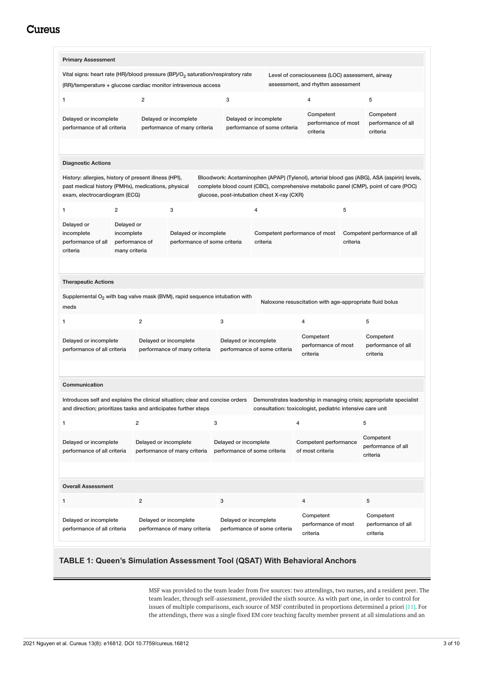<span id="page-4-0"></span>

| <b>Primary Assessment</b>                                                                                                                    |                                                                                      |                         |                                                                           |                                                       |                                                       |                                              |                              |                                                           |   |                                                                                                                                                                                    |
|----------------------------------------------------------------------------------------------------------------------------------------------|--------------------------------------------------------------------------------------|-------------------------|---------------------------------------------------------------------------|-------------------------------------------------------|-------------------------------------------------------|----------------------------------------------|------------------------------|-----------------------------------------------------------|---|------------------------------------------------------------------------------------------------------------------------------------------------------------------------------------|
| Vital signs: heart rate (HR)/blood pressure (BP)/O <sub>2</sub> saturation/respiratory rate                                                  |                                                                                      |                         |                                                                           |                                                       |                                                       |                                              |                              | Level of consciousness (LOC) assessment, airway           |   |                                                                                                                                                                                    |
| assessment, and rhythm assessment<br>(RR)/temperature + glucose cardiac monitor intravenous access                                           |                                                                                      |                         |                                                                           |                                                       |                                                       |                                              |                              |                                                           |   |                                                                                                                                                                                    |
| 1                                                                                                                                            |                                                                                      | $\overline{\mathbf{c}}$ |                                                                           |                                                       | 3                                                     |                                              |                              | 4                                                         |   | 5                                                                                                                                                                                  |
| Delayed or incomplete<br>performance of all criteria                                                                                         |                                                                                      |                         | Delayed or incomplete<br>performance of many criteria                     |                                                       | Delayed or incomplete                                 |                                              | performance of some criteria | Competent<br>performance of most<br>criteria              |   | Competent<br>performance of all<br>criteria                                                                                                                                        |
| <b>Diagnostic Actions</b>                                                                                                                    |                                                                                      |                         |                                                                           |                                                       |                                                       |                                              |                              |                                                           |   |                                                                                                                                                                                    |
| History: allergies, history of present illness (HPI),<br>past medical history (PMHx), medications, physical<br>exam, electrocardiogram (ECG) |                                                                                      |                         |                                                                           |                                                       | glucose, post-intubation chest X-ray (CXR)            |                                              |                              |                                                           |   | Bloodwork: Acetaminophen (APAP) (Tylenol), arterial blood gas (ABG), ASA (aspirin) levels,<br>complete blood count (CBC), comprehensive metabolic panel (CMP), point of care (POC) |
| 1                                                                                                                                            | $\overline{2}$                                                                       |                         | 3                                                                         |                                                       |                                                       | 4                                            |                              |                                                           | 5 |                                                                                                                                                                                    |
| Delayed or<br>incomplete<br>performance of all<br>criteria                                                                                   | Delayed or<br>incomplete<br>Delayed or incomplete<br>performance of<br>many criteria |                         | Competent performance of most<br>performance of some criteria<br>criteria |                                                       |                                                       | Competent performance of all<br>criteria     |                              |                                                           |   |                                                                                                                                                                                    |
| <b>Therapeutic Actions</b><br>Supplemental $O_2$ with bag valve mask (BVM), rapid sequence intubation with<br>meds                           |                                                                                      |                         |                                                                           |                                                       |                                                       |                                              |                              | Naloxone resuscitation with age-appropriate fluid bolus   |   |                                                                                                                                                                                    |
| 1                                                                                                                                            |                                                                                      | 2                       |                                                                           |                                                       | 3                                                     |                                              |                              | 4                                                         |   | 5                                                                                                                                                                                  |
| Delayed or incomplete<br>performance of all criteria                                                                                         |                                                                                      | Delayed or incomplete   | performance of many criteria                                              | Delayed or incomplete<br>performance of some criteria |                                                       | Competent<br>performance of most<br>criteria |                              | Competent<br>performance of all<br>criteria               |   |                                                                                                                                                                                    |
| Communication<br>Introduces self and explains the clinical situation; clear and concise orders                                               |                                                                                      |                         |                                                                           |                                                       |                                                       |                                              |                              |                                                           |   | Demonstrates leadership in managing crisis; appropriate specialist                                                                                                                 |
| and direction; prioritizes tasks and anticipates further steps                                                                               |                                                                                      |                         |                                                                           |                                                       |                                                       |                                              |                              | consultation: toxicologist, pediatric intensive care unit |   |                                                                                                                                                                                    |
| 1<br>Delayed or incomplete<br>performance of all criteria                                                                                    | $\overline{2}$                                                                       | Delayed or incomplete   | performance of many criteria                                              | 3                                                     | Delayed or incomplete<br>performance of some criteria |                                              |                              | 4<br>Competent performance<br>of most criteria            |   | 5<br>Competent<br>performance of all<br>criteria                                                                                                                                   |
| <b>Overall Assessment</b>                                                                                                                    |                                                                                      |                         |                                                                           |                                                       |                                                       |                                              |                              |                                                           |   |                                                                                                                                                                                    |
| 1                                                                                                                                            |                                                                                      | $\overline{\mathbf{c}}$ |                                                                           |                                                       | 3                                                     |                                              |                              | $\overline{4}$                                            |   | 5                                                                                                                                                                                  |
| Delayed or incomplete                                                                                                                        |                                                                                      | Delayed or incomplete   |                                                                           |                                                       | Delayed or incomplete                                 |                                              |                              | Competent<br>performance of most                          |   | Competent<br>performance of all                                                                                                                                                    |

## **TABLE 1: Queen's Simulation Assessment Tool (QSAT) With Behavioral Anchors**

MSF was provided to the team leader from five sources: two attendings, two nurses, and a resident peer. The team leader, through self-assessment, provided the sixth source. As with part one, in order to control for issues of multiple comparisons, each source of MSF contributed in proportions determined a priori [11]. For the attendings, there was a single fixed EM core teaching faculty member present at all simulations and an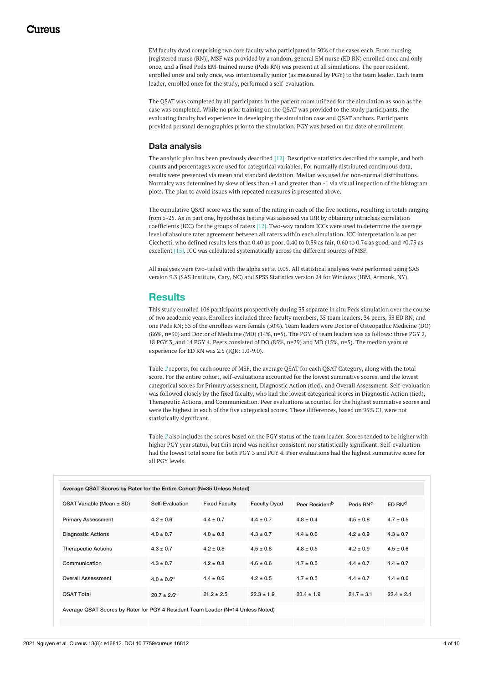<span id="page-5-0"></span>EM faculty dyad comprising two core faculty who participated in 50% of the cases each. From nursing [registered nurse (RN)], MSF was provided by a random, general EM nurse (ED RN) enrolled once and only once, and a fixed Peds EM-trained nurse (Peds RN) was present at all simulations. The peer resident, enrolled once and only once, was intentionally junior (as measured by PGY) to the team leader. Each team leader, enrolled once for the study, performed a self-evaluation.

The QSAT was completed by all participants in the patient room utilized for the simulation as soon as the case was completed. While no prior training on the QSAT was provided to the study participants, the evaluating faculty had experience in developing the simulation case and QSAT anchors. Participants provided personal demographics prior to the simulation. PGY was based on the date of enrollment.

#### **Data analysis**

The analytic plan has been previously described [12]. Descriptive statistics described the sample, and both counts and percentages were used for categorical variables. For normally distributed continuous data, results were presented via mean and standard deviation. Median was used for non-normal distributions. Normalcy was determined by skew of less than +1 and greater than -1 via visual inspection of the histogram plots. The plan to avoid issues with repeated measures is presented above.

The cumulative QSAT score was the sum of the rating in each of the five sections, resulting in totals ranging from 5-25. As in part one, hypothesis testing was assessed via IRR by obtaining intraclass correlation coefficients (ICC) for the groups of raters [12]. Two-way random ICCs were used to determine the average level of absolute rater agreement between all raters within each simulation. ICC interpretation is as per Cicchetti, who defined results less than 0.40 as poor, 0.40 to 0.59 as fair, 0.60 to 0.74 as good, and ≥0.75 as excellent [15]. ICC was calculated systematically across the different sources of MSF.

All analyses were two-tailed with the alpha set at 0.05. All statistical analyses were performed using SAS version 9.3 (SAS Institute, Cary, NC) and SPSS Statistics version 24 for Windows (IBM, Armonk, NY).

## <span id="page-5-1"></span>**Results**

This study enrolled 106 participants prospectively during 35 separate in situ Peds simulation over the course of two academic years. Enrollees included three faculty members, 35 team leaders, 34 peers, 33 ED RN, and one Peds RN; 53 of the enrollees were female (50%). Team leaders were Doctor of Osteopathic Medicine (DO) (86%, n=30) and Doctor of Medicine (MD) (14%, n=5). The PGY of team leaders was as follows: three PGY 2, 18 PGY 3, and 14 PGY 4. Peers consisted of DO (85%, n=29) and MD (15%, n=5). The median years of experience for ED RN was 2.5 (IQR: 1.0-9.0).

Table *[2](#page-4-0)* reports, for each source of MSF, the average QSAT for each QSAT Category, along with the total score. For the entire cohort, self-evaluations accounted for the lowest summative scores, and the lowest categorical scores for Primary assessment, Diagnostic Action (tied), and Overall Assessment. Self-evaluation was followed closely by the fixed faculty, who had the lowest categorical scores in Diagnostic Action (tied), Therapeutic Actions, and Communication. Peer evaluations accounted for the highest summative scores and were the highest in each of the five categorical scores. These differences, based on 95% CI, were not statistically significant.

Table *[2](#page-4-0)* also includes the scores based on the PGY status of the team leader. Scores tended to be higher with higher PGY year status, but this trend was neither consistent nor statistically significant. Self-evaluation had the lowest total score for both PGY 3 and PGY 4. Peer evaluations had the highest summative score for all PGY levels.

| Average QSAT Scores by Rater for the Entire Cohort (N=35 Unless Noted)          |                  |                      |                     |                            |                      |                    |  |  |  |
|---------------------------------------------------------------------------------|------------------|----------------------|---------------------|----------------------------|----------------------|--------------------|--|--|--|
|                                                                                 |                  |                      |                     |                            |                      |                    |  |  |  |
| QSAT Variable (Mean ± SD)                                                       | Self-Evaluation  | <b>Fixed Faculty</b> | <b>Faculty Dyad</b> | Peer Resident <sup>b</sup> | Peds RN <sup>c</sup> | ED RN <sup>d</sup> |  |  |  |
| <b>Primary Assessment</b>                                                       | $4.2 \pm 0.6$    | $4.4 \pm 0.7$        | $4.4 \pm 0.7$       | $4.8 \pm 0.4$              | $4.5 \pm 0.8$        | $4.7 \pm 0.5$      |  |  |  |
| <b>Diagnostic Actions</b>                                                       | $4.0 \pm 0.7$    | $4.0 \pm 0.8$        | $4.3 \pm 0.7$       | $4.4 \pm 0.6$              | $4.2 \pm 0.9$        | $4.3 \pm 0.7$      |  |  |  |
| <b>Therapeutic Actions</b>                                                      | $4.3 \pm 0.7$    | $4.2 \pm 0.8$        | $4.5 \pm 0.8$       | $4.8 \pm 0.5$              | $4.2 \pm 0.9$        | $4.5 \pm 0.6$      |  |  |  |
| Communication                                                                   | $4.3 \pm 0.7$    | $4.2 \pm 0.8$        | $4.6 \pm 0.6$       | $4.7 \pm 0.5$              | $4.4 \pm 0.7$        | $4.4 \pm 0.7$      |  |  |  |
| <b>Overall Assessment</b>                                                       | $4.0 \pm 0.6^a$  | $4.4 \pm 0.6$        | $4.2 \pm 0.5$       | $4.7 \pm 0.5$              | $4.4 \pm 0.7$        | $4.4 \pm 0.6$      |  |  |  |
| <b>QSAT Total</b>                                                               | $20.7 \pm 2.6^a$ | $21.2 \pm 2.5$       | $22.3 \pm 1.9$      | $23.4 \pm 1.9$             | $21.7 \pm 3.1$       | $22.4 \pm 2.4$     |  |  |  |
| Average QSAT Scores by Rater for PGY 4 Resident Team Leader (N=14 Unless Noted) |                  |                      |                     |                            |                      |                    |  |  |  |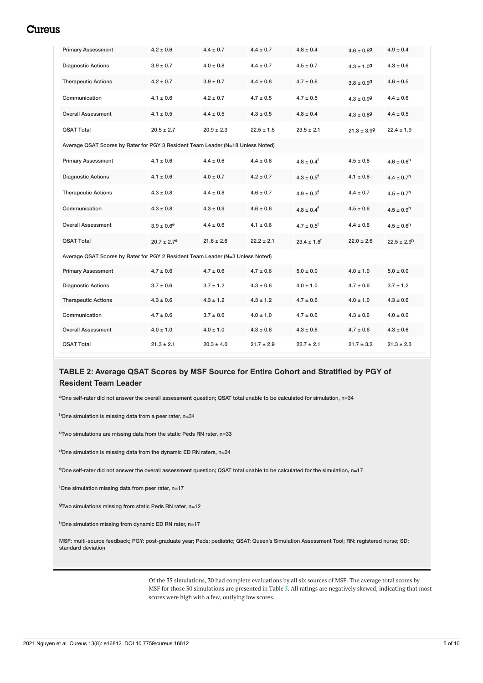<span id="page-6-0"></span>

| <b>Primary Assessment</b>                                                       | $4.2 \pm 0.6$               | $4.4 \pm 0.7$  | $4.4 \pm 0.7$  | $4.8 \pm 0.4$               | $4.6 \pm 0.89$  | $4.9 \pm 0.4$               |  |  |  |
|---------------------------------------------------------------------------------|-----------------------------|----------------|----------------|-----------------------------|-----------------|-----------------------------|--|--|--|
| <b>Diagnostic Actions</b>                                                       | $3.9 \pm 0.7$               | $4.0 \pm 0.8$  | $4.4 \pm 0.7$  | $4.5 \pm 0.7$               | $4.3 \pm 1.09$  | $4.3 \pm 0.6$               |  |  |  |
| <b>Therapeutic Actions</b>                                                      | $4.2 \pm 0.7$               | $3.9 \pm 0.7$  | $4.4 \pm 0.8$  | $4.7 \pm 0.6$               | $3.8 \pm 0.99$  | $4.6 \pm 0.5$               |  |  |  |
| Communication                                                                   | $4.1 \pm 0.6$               | $4.2 \pm 0.7$  | $4.7 \pm 0.5$  | $4.7 \pm 0.5$               | $4.3 \pm 0.99$  | $4.4 \pm 0.6$               |  |  |  |
| <b>Overall Assessment</b>                                                       | $4.1 \pm 0.5$               | $4.4 \pm 0.5$  | $4.3 \pm 0.5$  | $4.8 \pm 0.4$               | $4.3 \pm 0.89$  | $4.4 \pm 0.5$               |  |  |  |
| <b>OSAT Total</b>                                                               | $20.5 \pm 2.7$              | $20.9 \pm 2.3$ | $22.5 \pm 1.5$ | $23.5 \pm 2.1$              | $21.3 \pm 3.99$ | $22.4 \pm 1.9$              |  |  |  |
| Average QSAT Scores by Rater for PGY 3 Resident Team Leader (N=18 Unless Noted) |                             |                |                |                             |                 |                             |  |  |  |
| <b>Primary Assessment</b>                                                       | $4.1 \pm 0.6$               | $4.4 \pm 0.6$  | $4.4 \pm 0.6$  | $4.8 \pm 0.4$ <sup>f</sup>  | $4.5 \pm 0.8$   | $4.6 \pm 0.6$ <sup>h</sup>  |  |  |  |
| <b>Diagnostic Actions</b>                                                       | $4.1 \pm 0.6$               | $4.0 \pm 0.7$  | $4.2 \pm 0.7$  | $4.3 \pm 0.5$ <sup>f</sup>  | $4.1 \pm 0.8$   | $4.4 \pm 0.7$ <sup>h</sup>  |  |  |  |
| <b>Therapeutic Actions</b>                                                      | $4.3 \pm 0.8$               | $4.4 \pm 0.8$  | $4.6 \pm 0.7$  | $4.9 \pm 0.3$ <sup>f</sup>  | $4.4 \pm 0.7$   | $4.5 \pm 0.7$ <sup>h</sup>  |  |  |  |
| Communication                                                                   | $4.3 \pm 0.8$               | $4.3 \pm 0.9$  | $4.6 \pm 0.6$  | $4.8 \pm 0.4$ <sup>f</sup>  | $4.5 \pm 0.6$   | $4.5 \pm 0.9$ <sup>h</sup>  |  |  |  |
| <b>Overall Assessment</b>                                                       | $3.9 \pm 0.6^e$             | $4.4 \pm 0.6$  | $4.1 \pm 0.6$  | $4.7 \pm 0.5$ <sup>f</sup>  | $4.4 \pm 0.6$   | $4.5 \pm 0.6^h$             |  |  |  |
| <b>QSAT Total</b>                                                               | $20.7 \pm 2.7$ <sup>e</sup> | $21.6 \pm 2.6$ | $22.2 \pm 2.1$ | $23.4 \pm 1.8$ <sup>f</sup> | $22.0 \pm 2.6$  | $22.5 \pm 2.9$ <sup>h</sup> |  |  |  |
| Average QSAT Scores by Rater for PGY 2 Resident Team Leader (N=3 Unless Noted)  |                             |                |                |                             |                 |                             |  |  |  |
| <b>Primary Assessment</b>                                                       | $4.7 \pm 0.6$               | $4.7 \pm 0.6$  | $4.7 \pm 0.6$  | $5.0 \pm 0.0$               | $4.0 \pm 1.0$   | $5.0 \pm 0.0$               |  |  |  |
| <b>Diagnostic Actions</b>                                                       | $3.7 \pm 0.6$               | $3.7 \pm 1.2$  | $4.3 \pm 0.6$  | $4.0 \pm 1.0$               | $4.7 \pm 0.6$   | $3.7 \pm 1.2$               |  |  |  |
| <b>Therapeutic Actions</b>                                                      | $4.3 \pm 0.6$               | $4.3 \pm 1.2$  | $4.3 \pm 1.2$  | $4.7 \pm 0.6$               | $4.0 \pm 1.0$   | $4.3 \pm 0.6$               |  |  |  |
| Communication                                                                   | $4.7 \pm 0.6$               | $3.7 \pm 0.6$  | $4.0 \pm 1.0$  | $4.7 \pm 0.6$               | $4.3 \pm 0.6$   | $4.0 \pm 0.0$               |  |  |  |
| <b>Overall Assessment</b>                                                       | $4.0 \pm 1.0$               | $4.0 \pm 1.0$  | $4.3 \pm 0.6$  | $4.3 \pm 0.6$               | $4.7 \pm 0.6$   | $4.3 \pm 0.6$               |  |  |  |
| <b>QSAT Total</b>                                                               | $21.3 \pm 2.1$              | $20.3 \pm 4.0$ | $21.7 \pm 2.9$ | $22.7 \pm 2.1$              | $21.7 \pm 3.2$  | $21.3 \pm 2.3$              |  |  |  |

## **TABLE 2: Average QSAT Scores by MSF Source for Entire Cohort and Stratified by PGY of Resident Team Leader**

aOne self-rater did not answer the overall assessment question; QSAT total unable to be calculated for simulation, n=34

b<sub>One</sub> simulation is missing data from a peer rater, n=34

 $\textdegree$ Two simulations are missing data from the static Peds RN rater, n=33

 $d$ One simulation is missing data from the dynamic ED RN raters, n=34

eOne self-rater did not answer the overall assessment question; QSAT total unable to be calculated for the simulation, n=17

<sup>f</sup>One simulation missing data from peer rater, n=17

<sup>g</sup>Two simulations missing from static Peds RN rater, n=12

 $h$ One simulation missing from dynamic ED RN rater, n=17

MSF: multi-source feedback; PGY: post-graduate year; Peds: pediatric; QSAT: Queen's Simulation Assessment Tool; RN: registered nurse; SD: standard deviation

> Of the 35 simulations, 30 had complete evaluations by all six sources of MSF. The average total scores by MSF for those 30 simulations are presented in Table *[3](#page-5-0)*. All ratings are negatively skewed, indicating that most scores were high with a few, outlying low scores.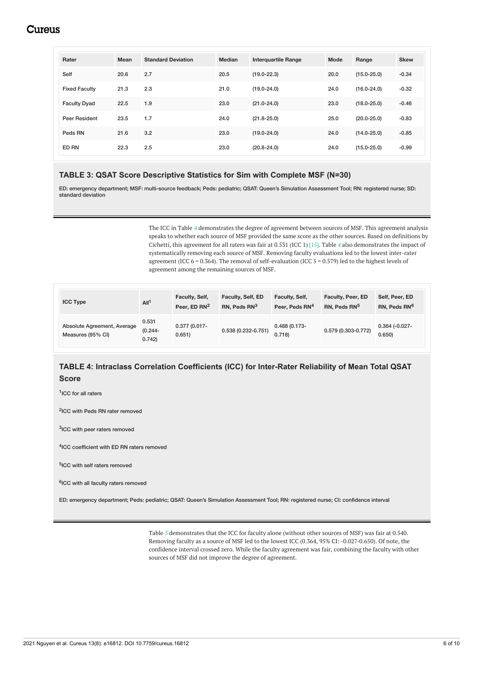| Rater                | <b>Mean</b> | <b>Standard Deviation</b> | <b>Median</b> | <b>Interquartile Range</b> | Mode | Range           | <b>Skew</b> |
|----------------------|-------------|---------------------------|---------------|----------------------------|------|-----------------|-------------|
| Self                 | 20.6        | 2.7                       | 20.5          | $(19.0 - 22.3)$            | 20.0 | $(15.0 - 25.0)$ | $-0.34$     |
| <b>Fixed Faculty</b> | 21.3        | 2.3                       | 21.0          | $(19.0 - 24.0)$            | 24.0 | $(16.0 - 24.0)$ | $-0.32$     |
| <b>Faculty Dyad</b>  | 22.5        | 1.9                       | 23.0          | $(21.0 - 24.0)$            | 23.0 | $(18.0 - 25.0)$ | $-0.46$     |
| Peer Resident        | 23.5        | 1.7                       | 24.0          | $(21.8 - 25.0)$            | 25.0 | $(20.0 - 25.0)$ | $-0.83$     |
| Peds RN              | 21.6        | 3.2                       | 23.0          | $(19.0 - 24.0)$            | 24.0 | $(14.0 - 25.0)$ | $-0.85$     |
| ED RN                | 22.3        | 2.5                       | 23.0          | $(20.8 - 24.0)$            | 24.0 | $(15.0 - 25.0)$ | $-0.99$     |

### **TABLE 3: QSAT Score Descriptive Statistics for Sim with Complete MSF (N=30)**

ED: emergency department; MSF: multi-source feedback; Peds: pediatric; QSAT: Queen's Simulation Assessment Tool; RN: registered nurse; SD: standard deviation

> The ICC in Table *[4](#page-5-1)* demonstrates the degree of agreement between sources of MSF. This agreement analysis speaks to whether each source of MSF provided the same score as the other sources. Based on definitions by Cichetti, this agreement for all raters was fair at 0.531 (ICC 1) [15]. Table *[4](#page-5-1)* also demonstrates the impact of systematically removing each source of MSF. Removing faculty evaluations led to the lowest inter-rater agreement (ICC  $6 = 0.364$ ). The removal of self-evaluation (ICC  $5 = 0.579$ ) led to the highest levels of agreement among the remaining sources of MSF.

| <b>ICC Type</b>                                  | All <sup>1</sup>             | Faculty, Self,<br>Peer, ED RN <sup>2</sup> | Faculty, Self, ED<br>RN, Peds RN <sup>3</sup> | Faculty, Self,<br>Peer. Peds RN <sup>4</sup> | Faculty, Peer, ED<br>RN, Peds RN <sup>5</sup> | Self, Peer, ED<br>RN, Peds RN <sup>6</sup> |
|--------------------------------------------------|------------------------------|--------------------------------------------|-----------------------------------------------|----------------------------------------------|-----------------------------------------------|--------------------------------------------|
| Absolute Agreement, Average<br>Measures (95% CI) | 0.531<br>$(0.244 -$<br>0.742 | $0.377(0.017 -$<br>0.651)                  | $0.538(0.232 - 0.751)$                        | $0.488(0.173 -$<br>0.718                     | 0.579 (0.303-0.772)                           | $0.364$ (-0.027-<br>0.650                  |

## **TABLE 4: Intraclass Correlation Coefficients (ICC) for Inter-Rater Reliability of Mean Total QSAT Score**

1 ICC for all raters

2 ICC with Peds RN rater removed

3 ICC with peer raters removed

4 ICC coefficient with ED RN raters removed

5 ICC with self raters removed

6 ICC with all faculty raters removed

ED: emergency department; Peds: pediatric; QSAT: Queen's Simulation Assessment Tool; RN: registered nurse; CI: confidence interval

Table *[5](#page-6-0)* demonstrates that the ICC for faculty alone (without other sources of MSF) was fair at 0.540. Removing faculty as a source of MSF led to the lowest ICC (0.364, 95% CI: -0.027-0.650). Of note, the confidence interval crossed zero. While the faculty agreement was fair, combining the faculty with other sources of MSF did not improve the degree of agreement.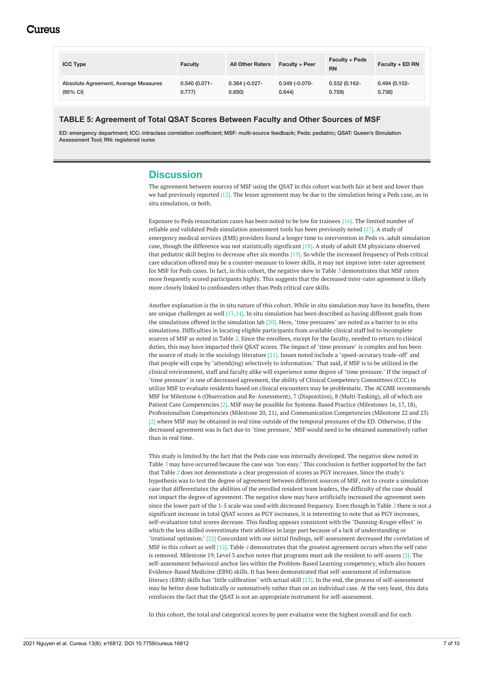| <b>ICC Type</b>                      | <b>Faculty</b>  | <b>All Other Raters</b> | Faculty + Peer  | <b>Faculty + Peds</b><br><b>RN</b> | Faculty + ED RN |
|--------------------------------------|-----------------|-------------------------|-----------------|------------------------------------|-----------------|
| Absolute Agreement, Average Measures | $0.540(0.071 -$ | $0.364$ $(-0.027 -$     | $0.349(-0.070-$ | $0.532(0.162 -$                    | 0.494 (0.102-   |
| $(95% \text{ Cl})$                   | 0.777           | 0.650                   | 0.644           | 0.759                              | 0.738)          |

### **TABLE 5: Agreement of Total QSAT Scores Between Faculty and Other Sources of MSF**

ED: emergency department; ICC: intraclass correlation coefficient; MSF: multi-source feedback; Peds: pediatric; QSAT: Queen's Simulation Assessment Tool; RN: registered nurse

# **Discussion**

The agreement between sources of MSF using the QSAT in this cohort was both fair at best and lower than we had previously reported [12]. The lesser agreement may be due to the simulation being a Peds case, an in situ simulation, or both.

Exposure to Peds resuscitation cases has been noted to be low for trainees [16]. The limited number of reliable and validated Peds simulation assessment tools has been previously noted [17]. A study of emergency medical services (EMS) providers found a longer time to intervention in Peds vs. adult simulation case, though the difference was not statistically significant [18]. A study of adult EM physicians observed that pediatric skill begins to decrease after six months [19]. So while the increased frequency of Peds critical care education offered may be a counter-measure to lower skills, it may not improve inter-rater agreement for MSF for Peds cases. In fact, in this cohort, the negative skew in Table *[3](#page-5-0)* demonstrates that MSF raters more frequently scored participants highly. This suggests that the decreased inter-rater agreement is likely more closely linked to confounders other than Peds critical care skills.

Another explanation is the in situ nature of this cohort. While in situ simulation may have its benefits, there are unique challenges as well [13,14]. In situ simulation has been described as having different goals from the simulations offered in the simulation lab [20]. Here, "time pressures" are noted as a barrier to in situ simulations. Difficulties in locating eligible participants from available clinical staff led to incomplete sources of MSF as noted in Table *[2](#page-4-0)*. Since the enrollees, except for the faculty, needed to return to clinical duties, this may have impacted their QSAT scores. The impact of "time pressure" is complex and has been the source of study in the sociology literature [21]. Issues noted include a "speed-accuracy trade-off" and that people will cope by "attend(ing) selectively to information." That said, if MSF is to be utilized in the clinical environment, staff and faculty alike will experience some degree of "time pressure." If the impact of "time pressure" is one of decreased agreement, the ability of Clinical Competency Committees (CCC) to utilize MSF to evaluate residents based on clinical encounters may be problematic. The ACGME recommends MSF for Milestone 6 (Observation and Re-Assessment), 7 (Disposition), 8 (Multi-Tasking), all of which are Patient Care Competencies [2]. MSF may be possible for Systems-Based Practice (Milestones 16, 17, 18), Professionalism Competencies (Milestone 20, 21), and Communication Competencies (Milestone 22 and 23) [2] where MSF may be obtained in real time outside of the temporal pressures of the ED. Otherwise, if the decreased agreement was in fact due to "time pressure," MSF would need to be obtained summatively rather than in real time.

This study is limited by the fact that the Peds case was internally developed. The negative skew noted in Table *[3](#page-5-0)* may have occurred because the case was "too easy." This conclusion is further supported by the fact that Table *[2](#page-4-0)* does not demonstrate a clear progression of scores as PGY increases. Since the study's hypothesis was to test the degree of agreement between different sources of MSF, not to create a simulation case that differentiates the abilities of the enrolled resident team leaders, the difficulty of the case should not impact the degree of agreement. The negative skew may have artificially increased the agreement seen since the lower part of the 1-5 scale was used with decreased frequency. Even though in Table *[2](#page-4-0)* there is not a significant increase in total QSAT scores as PGY increases, it is interesting to note that as PGY increases, self-evaluation total scores decrease. This finding appears consistent with the "Dunning-Kruger effect" in which the less skilled overestimate their abilities in large part because of a lack of understanding or "irrational optimism." [22] Concordant with our initial findings, self-assessment decreased the correlation of MSF in this cohort as well [12]. Table *[4](#page-5-1)* demonstrates that the greatest agreement occurs when the self rater is removed. Milestone 19, Level 3 anchor notes that programs must ask the resident to self-assess [2]. The self-assessment behavioral anchor lies within the Problem-Based Learning competency, which also houses Evidence-Based Medicine (EBM) skills. It has been demonstrated that self-assessment of information literacy (EBM) skills has "little calibration" with actual skill [23]. In the end, the process of self-assessment may be better done holistically or summatively rather than on an individual case. At the very least, this data reinforces the fact that the QSAT is not an appropriate instrument for self-assessment.

In this cohort, the total and categorical scores by peer evaluator were the highest overall and for each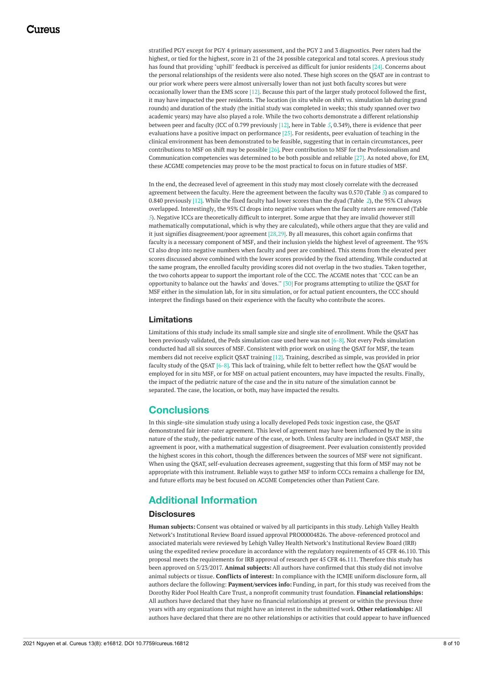stratified PGY except for PGY 4 primary assessment, and the PGY 2 and 3 diagnostics. Peer raters had the highest, or tied for the highest, score in 21 of the 24 possible categorical and total scores. A previous study has found that providing "uphill" feedback is perceived as difficult for junior residents [24]. Concerns about the personal relationships of the residents were also noted. These high scores on the QSAT are in contrast to our prior work where peers were almost universally lower than not just both faculty scores but were occasionally lower than the EMS score [12]. Because this part of the larger study protocol followed the first, it may have impacted the peer residents. The location (in situ while on shift vs. simulation lab during grand rounds) and duration of the study (the initial study was completed in weeks; this study spanned over two academic years) may have also played a role. While the two cohorts demonstrate a different relationship between peer and faculty (ICC of 0.799 previously [12], here in Table *[5](#page-6-0)*, 0.349), there is evidence that peer evaluations have a positive impact on performance [25]. For residents, peer evaluation of teaching in the clinical environment has been demonstrated to be feasible, suggesting that in certain circumstances, peer contributions to MSF on shift may be possible [26]. Peer contribution to MSF for the Professionalism and Communication competencies was determined to be both possible and reliable [27]. As noted above, for EM, these ACGME competencies may prove to be the most practical to focus on in future studies of MSF.

In the end, the decreased level of agreement in this study may most closely correlate with the decreased agreement between the faculty. Here the agreement between the faculty was 0.570 (Table *[5](#page-6-0)*) as compared to 0.840 previously [12]. While the fixed faculty had lower scores than the dyad (Table *[2](#page-4-0)*), the 95% CI always overlapped. Interestingly, the 95% CI drops into negative values when the faculty raters are removed (Table *[5](#page-6-0)*). Negative ICCs are theoretically difficult to interpret. Some argue that they are invalid (however still mathematically computational, which is why they are calculated), while others argue that they are valid and it just signifies disagreement/poor agreement [28,29]. By all measures, this cohort again confirms that faculty is a necessary component of MSF, and their inclusion yields the highest level of agreement. The 95% CI also drop into negative numbers when faculty and peer are combined. This stems from the elevated peer scores discussed above combined with the lower scores provided by the fixed attending. While conducted at the same program, the enrolled faculty providing scores did not overlap in the two studies. Taken together, the two cohorts appear to support the important role of the CCC. The ACGME notes that "CCC can be an opportunity to balance out the 'hawks' and 'doves.'" [30] For programs attempting to utilize the QSAT for MSF either in the simulation lab, for in situ simulation, or for actual patient encounters, the CCC should interpret the findings based on their experience with the faculty who contribute the scores.

#### **Limitations**

Limitations of this study include its small sample size and single site of enrollment. While the QSAT has been previously validated, the Peds simulation case used here was not [6-8]. Not every Peds simulation conducted had all six sources of MSF. Consistent with prior work on using the QSAT for MSF, the team members did not receive explicit QSAT training [12]. Training, described as simple, was provided in prior faculty study of the QSAT [6-8]. This lack of training, while felt to better reflect how the QSAT would be employed for in situ MSF, or for MSF on actual patient encounters, may have impacted the results. Finally, the impact of the pediatric nature of the case and the in situ nature of the simulation cannot be separated. The case, the location, or both, may have impacted the results.

# **Conclusions**

In this single-site simulation study using a locally developed Peds toxic ingestion case, the QSAT demonstrated fair inter-rater agreement. This level of agreement may have been influenced by the in situ nature of the study, the pediatric nature of the case, or both. Unless faculty are included in QSAT MSF, the agreement is poor, with a mathematical suggestion of disagreement. Peer evaluation consistently provided the highest scores in this cohort, though the differences between the sources of MSF were not significant. When using the QSAT, self-evaluation decreases agreement, suggesting that this form of MSF may not be appropriate with this instrument. Reliable ways to gather MSF to inform CCCs remains a challenge for EM, and future efforts may be best focused on ACGME Competencies other than Patient Care.

# **Additional Information**

#### **Disclosures**

**Human subjects:** Consent was obtained or waived by all participants in this study. Lehigh Valley Health Network's Institutional Review Board issued approval PRO00004826. The above-referenced protocol and associated materials were reviewed by Lehigh Valley Health Network's Institutional Review Board (IRB) using the expedited review procedure in accordance with the regulatory requirements of 45 CFR 46.110. This proposal meets the requirements for IRB approval of research per 45 CFR 46.111. Therefore this study has been approved on 5/23/2017. **Animal subjects:** All authors have confirmed that this study did not involve animal subjects or tissue. **Conflicts of interest:** In compliance with the ICMJE uniform disclosure form, all authors declare the following: **Payment/services info:** Funding, in part, for this study was received from the Dorothy Rider Pool Health Care Trust, a nonprofit community trust foundation. **Financial relationships:** All authors have declared that they have no financial relationships at present or within the previous three years with any organizations that might have an interest in the submitted work. **Other relationships:** All authors have declared that there are no other relationships or activities that could appear to have influenced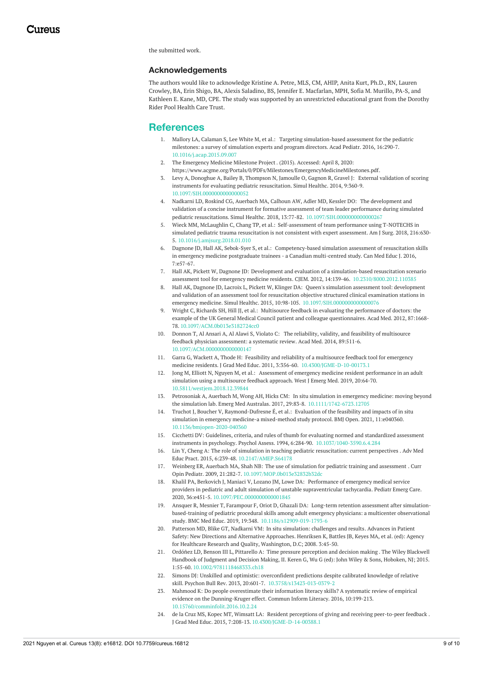the submitted work.

#### **Acknowledgements**

The authors would like to acknowledge Kristine A. Petre, MLS, CM, AHIP, Anita Kurt, Ph.D., RN, Lauren Crowley, BA, Erin Shigo, BA, Alexis Saladino, BS, Jennifer E. Macfarlan, MPH, Sofia M. Murillo, PA-S, and Kathleen E. Kane, MD, CPE. The study was supported by an unrestricted educational grant from the Dorothy Rider Pool Health Care Trust.

### **References**

- 1. Mallory LA, Calaman S, Lee White M, et al.: Targeting [simulation-based](https://dx.doi.org/10.1016/j.acap.2015.09.007) assessment for the pediatric milestones: a survey of simulation experts and program directors. Acad Pediatr. 2016, 16:290-7. [10.1016/j.acap.2015.09.007](https://dx.doi.org/10.1016/j.acap.2015.09.007)
- 2. The [Emergency](https://www.acgme.org/Portals/0/PDFs/Milestones/EmergencyMedicineMilestones.pdf) Medicine Milestone Project . (2015). Accessed: April 8, 2020: <https://www.acgme.org/Portals/0/PDFs/Milestones/EmergencyMedicineMilestones.pdf>.
- 3. Levy A, Donoghue A, Bailey B, Thompson N, Jamoulle O, Gagnon R, Gravel J: External validation of scoring instruments for evaluating pediatric [resuscitation.](https://dx.doi.org/10.1097/SIH.0000000000000052) Simul Healthc. 2014, 9:360-9. [10.1097/SIH.0000000000000052](https://dx.doi.org/10.1097/SIH.0000000000000052)
- 4. Nadkarni LD, Roskind CG, Auerbach MA, Calhoun AW, Adler MD, Kessler DO: The development and validation of a concise instrument for formative assessment of team leader performance during simulated pediatric resuscitations. Simul Healthc. 2018, 13:77-82. [10.1097/SIH.0000000000000267](https://dx.doi.org/10.1097/SIH.0000000000000267)
- 5. Wieck MM, McLaughlin C, Chang TP, et al.: [Self-assessment](https://dx.doi.org/10.1016/j.amjsurg.2018.01.010) of team performance using T-NOTECHS in simulated pediatric trauma resuscitation is not consistent with expert assessment. Am J Surg. 2018, 216:630- 5. [10.1016/j.amjsurg.2018.01.010](https://dx.doi.org/10.1016/j.amjsurg.2018.01.010)
- 6. Dagnone JD, Hall AK, Sebok-Syer S, et al.: [Competency-based](https://pubmed.ncbi.nlm.nih.gov/27103954/) simulation assessment of resuscitation skills in emergency medicine postgraduate trainees - a Canadian multi-centred study. Can Med Educ J. 2016, 7:e57-67.
- 7. Hall AK, Pickett W, Dagnone JD: Development and evaluation of a simulation-based resuscitation scenario assessment tool for emergency medicine residents. CJEM. 2012, 14:139-46. [10.2310/8000.2012.110385](https://dx.doi.org/10.2310/8000.2012.110385)
- 8. Hall AK, Dagnone JD, Lacroix L, Pickett W, Klinger DA: Queen's simulation assessment tool: development and validation of an assessment tool for resuscitation objective structured clinical examination stations in emergency medicine. Simul Healthc. 2015, 10:98-105. [10.1097/SIH.0000000000000076](https://dx.doi.org/10.1097/SIH.0000000000000076)
- 9. Wright C, Richards SH, Hill JJ, et al.: Multisource feedback in evaluating the performance of doctors: the example of the UK General Medical Council patient and colleague [questionnaires.](https://dx.doi.org/10.1097/ACM.0b013e3182724cc0) Acad Med. 2012, 87:1668- 78. [10.1097/ACM.0b013e3182724cc0](https://dx.doi.org/10.1097/ACM.0b013e3182724cc0)
- 10. Donnon T, Al Ansari A, Al Alawi S, Violato C: The reliability, validity, and feasibility of multisource feedback physician [assessment:](https://dx.doi.org/10.1097/ACM.0000000000000147) a systematic review. Acad Med. 2014, 89:511-6. [10.1097/ACM.0000000000000147](https://dx.doi.org/10.1097/ACM.0000000000000147)
- 11. Garra G, Wackett A, Thode H: Feasibility and reliability of a multisource feedback tool for emergency medicine residents. J Grad Med Educ. 2011, 3:356-60. [10.4300/JGME-D-10-00173.1](https://dx.doi.org/10.4300/JGME-D-10-00173.1)
- 12. Jong M, Elliott N, Nguyen M, et al.: Assessment of emergency medicine resident [performance](https://dx.doi.org/10.5811/westjem.2018.12.39844) in an adult simulation using a multisource feedback approach. West J Emerg Med. 2019, 20:64-70. [10.5811/westjem.2018.12.39844](https://dx.doi.org/10.5811/westjem.2018.12.39844)
- 13. Petrosoniak A, Auerbach M, Wong AH, Hicks CM: In situ simulation in emergency medicine: moving beyond the simulation lab. Emerg Med Australas. 2017, 29:83-8. [10.1111/1742-6723.12705](https://dx.doi.org/10.1111/1742-6723.12705)
- 14. Truchot J, Boucher V, [Raymond-Dufresne](https://dx.doi.org/10.1136/bmjopen-2020-040360) É, et al.: Evaluation of the feasibility and impacts of in situ simulation in emergency medicine-a mixed-method study protocol. BMJ Open. 2021, 11:e040360. [10.1136/bmjopen-2020-040360](https://dx.doi.org/10.1136/bmjopen-2020-040360)
- 15. Cicchetti DV: Guidelines, criteria, and rules of thumb for evaluating normed and standardized assessment instruments in psychology. Psychol Assess. 1994, 6:284-90. [10.1037/1040-3590.6.4.284](https://dx.doi.org/10.1037/1040-3590.6.4.284)
- 16. Lin Y, Cheng A: The role of simulation in teaching pediatric [resuscitation:](https://dx.doi.org/10.2147/AMEP.S64178) current perspectives . Adv Med Educ Pract. 2015, 6:239-48. [10.2147/AMEP.S64178](https://dx.doi.org/10.2147/AMEP.S64178)
- 17. Weinberg ER, Auerbach MA, Shah NB: The use of simulation for pediatric training and [assessment](https://dx.doi.org/10.1097/MOP.0b013e32832b32dc) . Curr Opin Pediatr. 2009, 21:282-7. [10.1097/MOP.0b013e32832b32dc](https://dx.doi.org/10.1097/MOP.0b013e32832b32dc)
- 18. Khalil PA, Berkovich J, Maniaci V, Lozano JM, Lowe DA: Performance of emergency medical service providers in pediatric and adult simulation of unstable [supraventricular](https://dx.doi.org/10.1097/PEC.0000000000001845) tachycardia. Pediatr Emerg Care. 2020, 36:e451-5. [10.1097/PEC.0000000000001845](https://dx.doi.org/10.1097/PEC.0000000000001845)
- 19. Ansquer R, Mesnier T, Farampour F, Oriot D, Ghazali DA: Long-term retention assessment after simulationbased-training of pediatric procedural skills among adult emergency physicians: a multicenter observational study. BMC Med Educ. 2019, 19:348. [10.1186/s12909-019-1793-6](https://dx.doi.org/10.1186/s12909-019-1793-6)
- 20. Patterson MD, Blike GT, Nadkarni VM: In situ [simulation:](https://www.ncbi.nlm.nih.gov/books/NBK43682/) challenges and results. Advances in Patient Safety: New Directions and Alternative Approaches. Henriksen K, Battles JB, Keyes MA, et al. (ed): Agency for Healthcare Research and Quality, Washington, D.C; 2008. 3:45-50.
- 21. Ordóñez LD, Benson III L, Pittarello A: Time pressure [perception](https://dx.doi.org/10.1002/9781118468333.ch18) and decision making . The Wiley Blackwell Handbook of Judgment and Decision Making, II. Keren G, Wu G (ed): John Wiley & Sons, Hoboken, NJ; 2015. 1:55-60. [10.1002/9781118468333.ch18](https://dx.doi.org/10.1002/9781118468333.ch18)
- 22. Simons DJ: Unskilled and optimistic: overconfident predictions despite calibrated knowledge of relative skill. Psychon Bull Rev. 2013, 20:601-7. [10.3758/s13423-013-0379-2](https://dx.doi.org/10.3758/s13423-013-0379-2)
- 23. Mahmood K: Do people overestimate their information literacy skills? A systematic review of empirical evidence on the [Dunning-Kruger](https://dx.doi.org/10.15760/comminfolit.2016.10.2.24) effect. Commun Inform Literacy. 2016, 10:199-213. [10.15760/comminfolit.2016.10.2.24](https://dx.doi.org/10.15760/comminfolit.2016.10.2.24)
- 24. de la Cruz MS, Kopec MT, Wimsatt LA: Resident perceptions of giving and receiving [peer-to-peer](https://dx.doi.org/10.4300/JGME-D-14-00388.1) feedback . J Grad Med Educ. 2015, 7:208-13. [10.4300/JGME-D-14-00388.1](https://dx.doi.org/10.4300/JGME-D-14-00388.1)